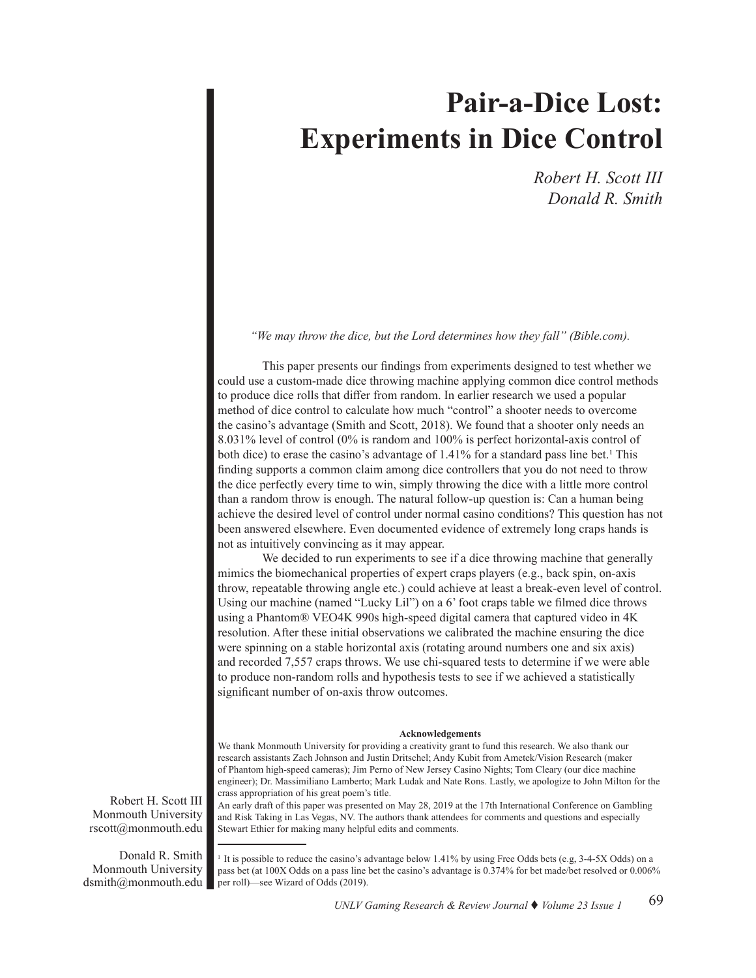# **Pair-a-Dice Lost: Experiments in Dice Control**

 *Robert H. Scott III Donald R. Smith* 

*"We may throw the dice, but the Lord determines how they fall" (Bible.com).*

 This paper presents our findings from experiments designed to test whether we could use a custom-made dice throwing machine applying common dice control methods to produce dice rolls that differ from random. In earlier research we used a popular method of dice control to calculate how much "control" a shooter needs to overcome the casino's advantage (Smith and Scott, 2018). We found that a shooter only needs an 8.031% level of control (0% is random and 100% is perfect horizontal-axis control of both dice) to erase the casino's advantage of 1.41% for a standard pass line bet.<sup>1</sup> This finding supports a common claim among dice controllers that you do not need to throw the dice perfectly every time to win, simply throwing the dice with a little more control than a random throw is enough. The natural follow-up question is: Can a human being achieve the desired level of control under normal casino conditions? This question has not been answered elsewhere. Even documented evidence of extremely long craps hands is not as intuitively convincing as it may appear.

We decided to run experiments to see if a dice throwing machine that generally mimics the biomechanical properties of expert craps players (e.g., back spin, on-axis throw, repeatable throwing angle etc.) could achieve at least a break-even level of control. Using our machine (named "Lucky Lil") on a 6' foot craps table we filmed dice throws using a Phantom® VEO4K 990s high-speed digital camera that captured video in 4K resolution. After these initial observations we calibrated the machine ensuring the dice were spinning on a stable horizontal axis (rotating around numbers one and six axis) and recorded 7,557 craps throws. We use chi-squared tests to determine if we were able to produce non-random rolls and hypothesis tests to see if we achieved a statistically significant number of on-axis throw outcomes.

#### **Acknowledgements**

We thank Monmouth University for providing a creativity grant to fund this research. We also thank our research assistants Zach Johnson and Justin Dritschel; Andy Kubit from Ametek/Vision Research (maker of Phantom high-speed cameras); Jim Perno of New Jersey Casino Nights; Tom Cleary (our dice machine engineer); Dr. Massimiliano Lamberto; Mark Ludak and Nate Rons. Lastly, we apologize to John Milton for the crass appropriation of his great poem's title.

An early draft of this paper was presented on May 28, 2019 at the 17th International Conference on Gambling and Risk Taking in Las Vegas, NV. The authors thank attendees for comments and questions and especially Stewart Ethier for making many helpful edits and comments.

<sup>1</sup> It is possible to reduce the casino's advantage below 1.41% by using Free Odds bets (e.g, 3-4-5X Odds) on a pass bet (at 100X Odds on a pass line bet the casino's advantage is 0.374% for bet made/bet resolved or 0.006% per roll)—see Wizard of Odds (2019).

Robert H. Scott III Monmouth University rscott@monmouth.edu

Donald R. Smith Monmouth University dsmith@monmouth.edu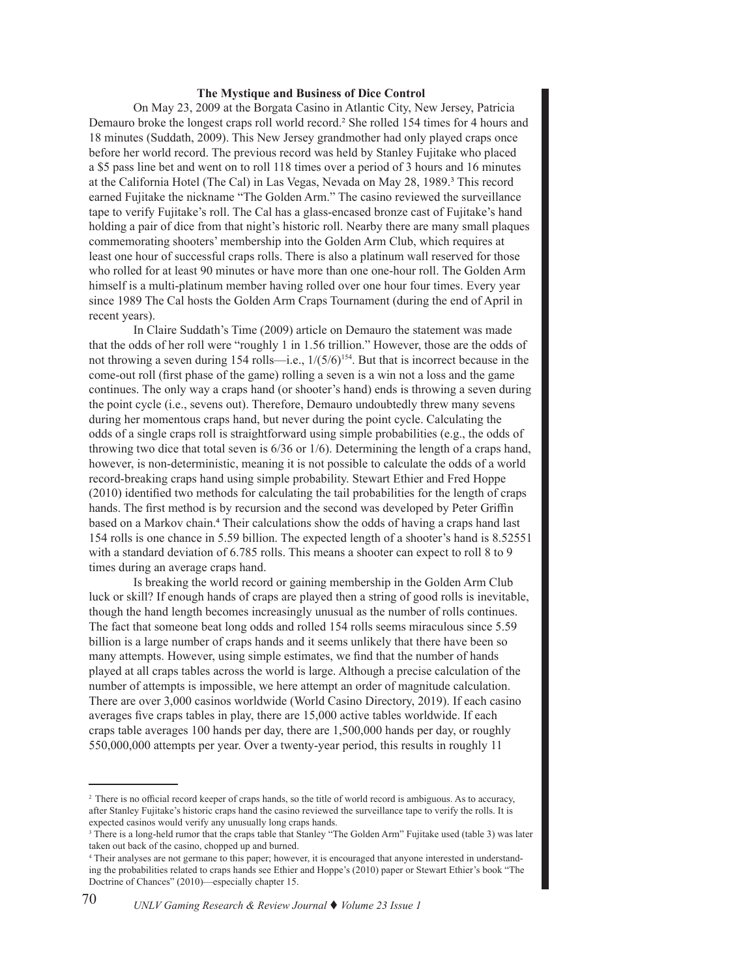#### **The Mystique and Business of Dice Control**

 On May 23, 2009 at the Borgata Casino in Atlantic City, New Jersey, Patricia Demauro broke the longest craps roll world record.<sup>2</sup> She rolled 154 times for 4 hours and 18 minutes (Suddath, 2009). This New Jersey grandmother had only played craps once before her world record. The previous record was held by Stanley Fujitake who placed a \$5 pass line bet and went on to roll 118 times over a period of 3 hours and 16 minutes at the California Hotel (The Cal) in Las Vegas, Nevada on May 28, 1989.<sup>3</sup> This record earned Fujitake the nickname "The Golden Arm." The casino reviewed the surveillance tape to verify Fujitake's roll. The Cal has a glass-encased bronze cast of Fujitake's hand holding a pair of dice from that night's historic roll. Nearby there are many small plaques commemorating shooters' membership into the Golden Arm Club, which requires at least one hour of successful craps rolls. There is also a platinum wall reserved for those who rolled for at least 90 minutes or have more than one one-hour roll. The Golden Arm himself is a multi-platinum member having rolled over one hour four times. Every year since 1989 The Cal hosts the Golden Arm Craps Tournament (during the end of April in recent years).

 In Claire Suddath's Time (2009) article on Demauro the statement was made that the odds of her roll were "roughly 1 in 1.56 trillion." However, those are the odds of not throwing a seven during 154 rolls—i.e.,  $1/(5/6)^{154}$ . But that is incorrect because in the come-out roll (first phase of the game) rolling a seven is a win not a loss and the game continues. The only way a craps hand (or shooter's hand) ends is throwing a seven during the point cycle (i.e., sevens out). Therefore, Demauro undoubtedly threw many sevens during her momentous craps hand, but never during the point cycle. Calculating the odds of a single craps roll is straightforward using simple probabilities (e.g., the odds of throwing two dice that total seven is 6/36 or 1/6). Determining the length of a craps hand, however, is non-deterministic, meaning it is not possible to calculate the odds of a world record-breaking craps hand using simple probability. Stewart Ethier and Fred Hoppe (2010) identified two methods for calculating the tail probabilities for the length of craps hands. The first method is by recursion and the second was developed by Peter Griffin based on a Markov chain.4 Their calculations show the odds of having a craps hand last 154 rolls is one chance in 5.59 billion. The expected length of a shooter's hand is 8.52551 with a standard deviation of 6.785 rolls. This means a shooter can expect to roll 8 to 9 times during an average craps hand.

 Is breaking the world record or gaining membership in the Golden Arm Club luck or skill? If enough hands of craps are played then a string of good rolls is inevitable, though the hand length becomes increasingly unusual as the number of rolls continues. The fact that someone beat long odds and rolled 154 rolls seems miraculous since 5.59 billion is a large number of craps hands and it seems unlikely that there have been so many attempts. However, using simple estimates, we find that the number of hands played at all craps tables across the world is large. Although a precise calculation of the number of attempts is impossible, we here attempt an order of magnitude calculation. There are over 3,000 casinos worldwide (World Casino Directory, 2019). If each casino averages five craps tables in play, there are 15,000 active tables worldwide. If each craps table averages 100 hands per day, there are 1,500,000 hands per day, or roughly 550,000,000 attempts per year. Over a twenty-year period, this results in roughly 11

<sup>&</sup>lt;sup>2</sup> There is no official record keeper of craps hands, so the title of world record is ambiguous. As to accuracy, after Stanley Fujitake's historic craps hand the casino reviewed the surveillance tape to verify the rolls. It is expected casinos would verify any unusually long craps hands.

<sup>&</sup>lt;sup>3</sup> There is a long-held rumor that the craps table that Stanley "The Golden Arm" Fujitake used (table 3) was later taken out back of the casino, chopped up and burned.

<sup>4</sup> Their analyses are not germane to this paper; however, it is encouraged that anyone interested in understanding the probabilities related to craps hands see Ethier and Hoppe's (2010) paper or Stewart Ethier's book "The Doctrine of Chances" (2010)—especially chapter 15.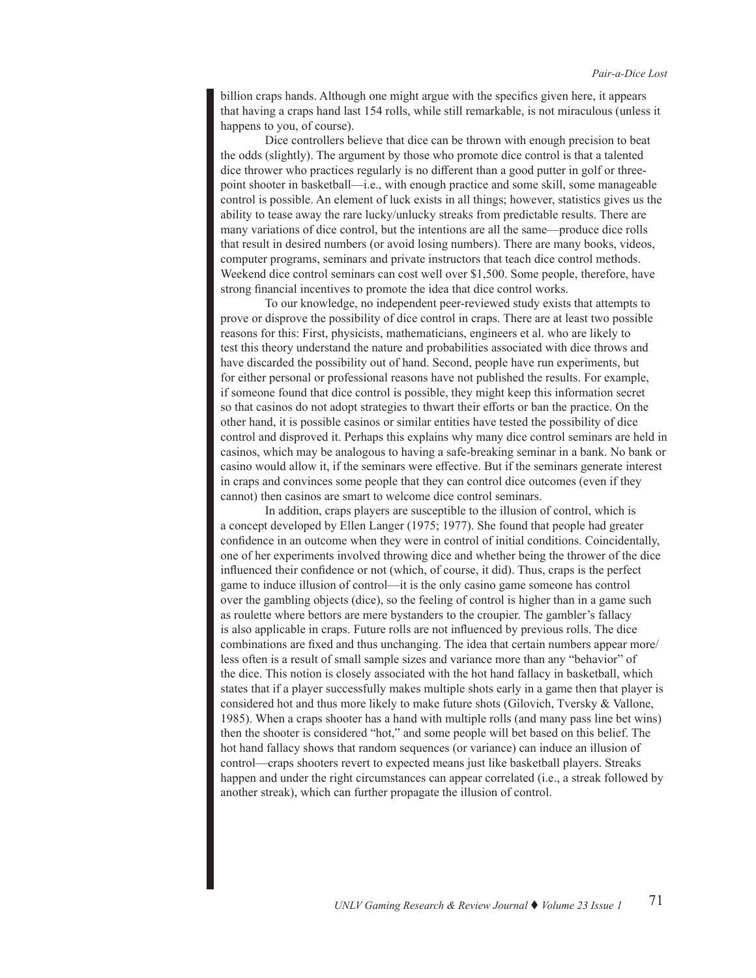billion craps hands. Although one might argue with the specifics given here, it appears that having a craps hand last 154 rolls, while still remarkable, is not miraculous (unless it happens to you, of course).

Dice controllers believe that dice can be thrown with enough precision to beat the odds (slightly). The argument by those who promote dice control is that a talented dice thrower who practices regularly is no different than a good putter in golf or threepoint shooter in basketball—i.e., with enough practice and some skill, some manageable control is possible. An element of luck exists in all things; however, statistics gives us the ability to tease away the rare lucky/unlucky streaks from predictable results. There are many variations of dice control, but the intentions are all the same—produce dice rolls that result in desired numbers (or avoid losing numbers). There are many books, videos, computer programs, seminars and private instructors that teach dice control methods. Weekend dice control seminars can cost well over \$1,500. Some people, therefore, have strong financial incentives to promote the idea that dice control works.

To our knowledge, no independent peer-reviewed study exists that attempts to prove or disprove the possibility of dice control in craps. There are at least two possible reasons for this: First, physicists, mathematicians, engineers et al. who are likely to test this theory understand the nature and probabilities associated with dice throws and have discarded the possibility out of hand. Second, people have run experiments, but for either personal or professional reasons have not published the results. For example, if someone found that dice control is possible, they might keep this information secret so that casinos do not adopt strategies to thwart their efforts or ban the practice. On the other hand, it is possible casinos or similar entities have tested the possibility of dice control and disproved it. Perhaps this explains why many dice control seminars are held in casinos, which may be analogous to having a safe-breaking seminar in a bank. No bank or casino would allow it, if the seminars were effective. But if the seminars generate interest in craps and convinces some people that they can control dice outcomes (even if they cannot) then casinos are smart to welcome dice control seminars.

In addition, craps players are susceptible to the illusion of control, which is a concept developed by Ellen Langer (1975; 1977). She found that people had greater confidence in an outcome when they were in control of initial conditions. Coincidentally, one of her experiments involved throwing dice and whether being the thrower of the dice influenced their confidence or not (which, of course, it did). Thus, craps is the perfect game to induce illusion of control—it is the only casino game someone has control over the gambling objects (dice), so the feeling of control is higher than in a game such as roulette where bettors are mere bystanders to the croupier. The gambler's fallacy is also applicable in craps. Future rolls are not influenced by previous rolls. The dice combinations are fixed and thus unchanging. The idea that certain numbers appear more/ less often is a result of small sample sizes and variance more than any "behavior" of the dice. This notion is closely associated with the hot hand fallacy in basketball, which states that if a player successfully makes multiple shots early in a game then that player is considered hot and thus more likely to make future shots (Gilovich, Tversky & Vallone, 1985). When a craps shooter has a hand with multiple rolls (and many pass line bet wins) then the shooter is considered "hot," and some people will bet based on this belief. The hot hand fallacy shows that random sequences (or variance) can induce an illusion of control—craps shooters revert to expected means just like basketball players. Streaks happen and under the right circumstances can appear correlated (i.e., a streak followed by another streak), which can further propagate the illusion of control.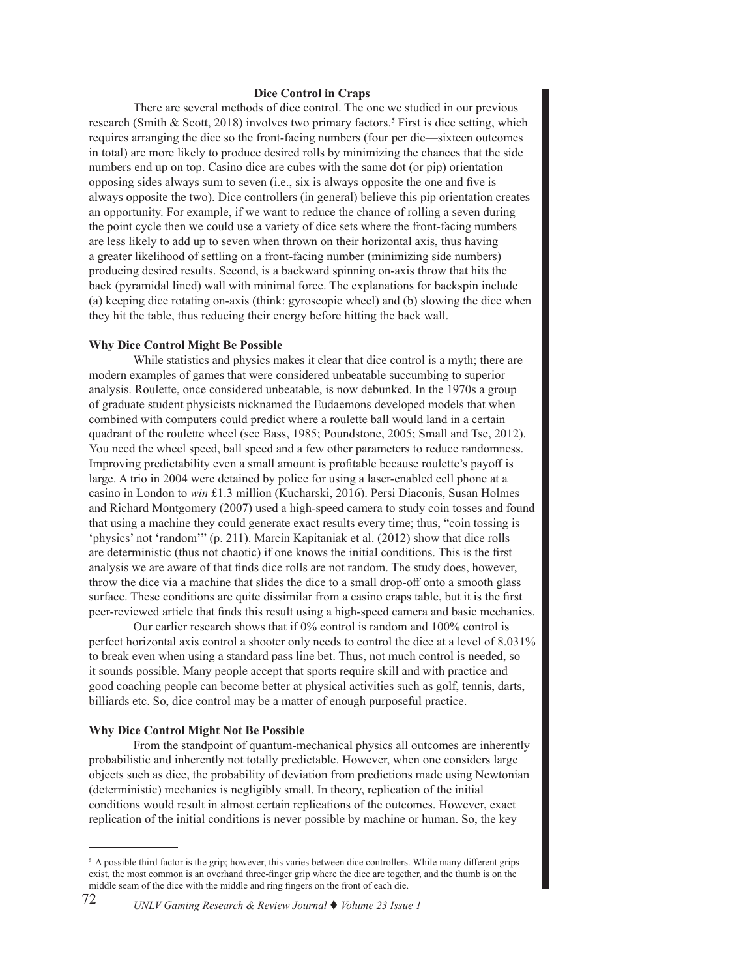#### **Dice Control in Craps**

 There are several methods of dice control. The one we studied in our previous research (Smith & Scott, 2018) involves two primary factors.<sup>5</sup> First is dice setting, which requires arranging the dice so the front-facing numbers (four per die—sixteen outcomes in total) are more likely to produce desired rolls by minimizing the chances that the side numbers end up on top. Casino dice are cubes with the same dot (or pip) orientation opposing sides always sum to seven (i.e., six is always opposite the one and five is always opposite the two). Dice controllers (in general) believe this pip orientation creates an opportunity. For example, if we want to reduce the chance of rolling a seven during the point cycle then we could use a variety of dice sets where the front-facing numbers are less likely to add up to seven when thrown on their horizontal axis, thus having a greater likelihood of settling on a front-facing number (minimizing side numbers) producing desired results. Second, is a backward spinning on-axis throw that hits the back (pyramidal lined) wall with minimal force. The explanations for backspin include (a) keeping dice rotating on-axis (think: gyroscopic wheel) and (b) slowing the dice when they hit the table, thus reducing their energy before hitting the back wall.

## **Why Dice Control Might Be Possible**

 While statistics and physics makes it clear that dice control is a myth; there are modern examples of games that were considered unbeatable succumbing to superior analysis. Roulette, once considered unbeatable, is now debunked. In the 1970s a group of graduate student physicists nicknamed the Eudaemons developed models that when combined with computers could predict where a roulette ball would land in a certain quadrant of the roulette wheel (see Bass, 1985; Poundstone, 2005; Small and Tse, 2012). You need the wheel speed, ball speed and a few other parameters to reduce randomness. Improving predictability even a small amount is profitable because roulette's payoff is large. A trio in 2004 were detained by police for using a laser-enabled cell phone at a casino in London to *win* £1.3 million (Kucharski, 2016). Persi Diaconis, Susan Holmes and Richard Montgomery (2007) used a high-speed camera to study coin tosses and found that using a machine they could generate exact results every time; thus, "coin tossing is 'physics' not 'random'" (p. 211). Marcin Kapitaniak et al. (2012) show that dice rolls are deterministic (thus not chaotic) if one knows the initial conditions. This is the first analysis we are aware of that finds dice rolls are not random. The study does, however, throw the dice via a machine that slides the dice to a small drop-off onto a smooth glass surface. These conditions are quite dissimilar from a casino craps table, but it is the first peer-reviewed article that finds this result using a high-speed camera and basic mechanics.

Our earlier research shows that if 0% control is random and 100% control is perfect horizontal axis control a shooter only needs to control the dice at a level of 8.031% to break even when using a standard pass line bet. Thus, not much control is needed, so it sounds possible. Many people accept that sports require skill and with practice and good coaching people can become better at physical activities such as golf, tennis, darts, billiards etc. So, dice control may be a matter of enough purposeful practice.

#### **Why Dice Control Might Not Be Possible**

 From the standpoint of quantum-mechanical physics all outcomes are inherently probabilistic and inherently not totally predictable. However, when one considers large objects such as dice, the probability of deviation from predictions made using Newtonian (deterministic) mechanics is negligibly small. In theory, replication of the initial conditions would result in almost certain replications of the outcomes. However, exact replication of the initial conditions is never possible by machine or human. So, the key

<sup>&</sup>lt;sup>5</sup> A possible third factor is the grip; however, this varies between dice controllers. While many different grips exist, the most common is an overhand three-finger grip where the dice are together, and the thumb is on the middle seam of the dice with the middle and ring fingers on the front of each die.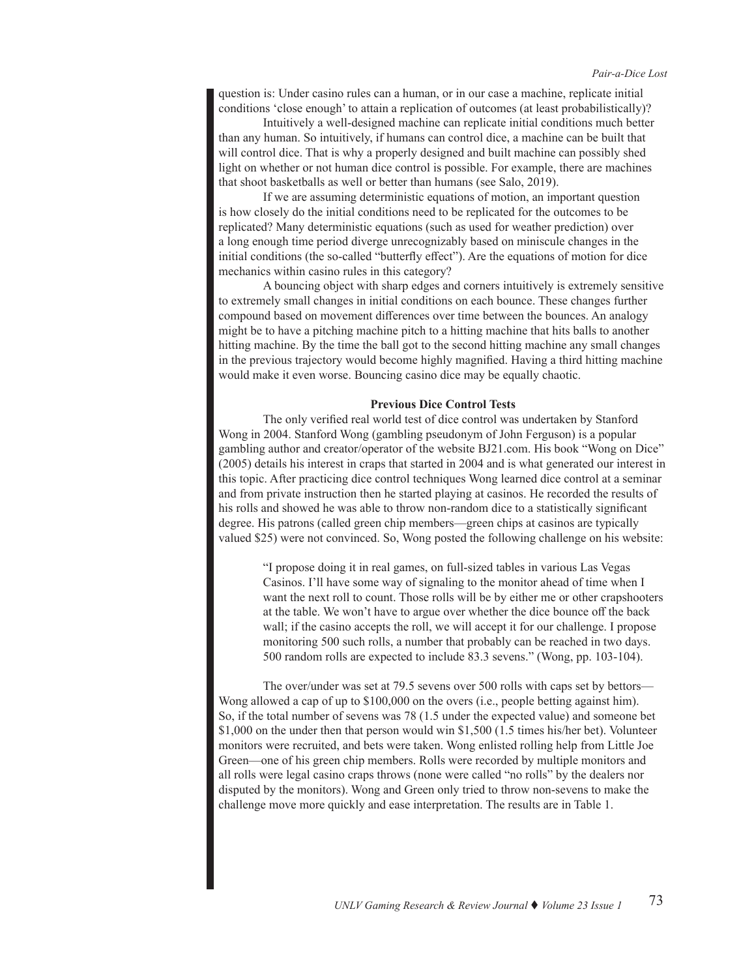question is: Under casino rules can a human, or in our case a machine, replicate initial conditions 'close enough' to attain a replication of outcomes (at least probabilistically)?

Intuitively a well-designed machine can replicate initial conditions much better than any human. So intuitively, if humans can control dice, a machine can be built that will control dice. That is why a properly designed and built machine can possibly shed light on whether or not human dice control is possible. For example, there are machines that shoot basketballs as well or better than humans (see Salo, 2019).

If we are assuming deterministic equations of motion, an important question is how closely do the initial conditions need to be replicated for the outcomes to be replicated? Many deterministic equations (such as used for weather prediction) over a long enough time period diverge unrecognizably based on miniscule changes in the initial conditions (the so-called "butterfly effect"). Are the equations of motion for dice mechanics within casino rules in this category?

A bouncing object with sharp edges and corners intuitively is extremely sensitive to extremely small changes in initial conditions on each bounce. These changes further compound based on movement differences over time between the bounces. An analogy might be to have a pitching machine pitch to a hitting machine that hits balls to another hitting machine. By the time the ball got to the second hitting machine any small changes in the previous trajectory would become highly magnified. Having a third hitting machine would make it even worse. Bouncing casino dice may be equally chaotic.

#### **Previous Dice Control Tests**

 The only verified real world test of dice control was undertaken by Stanford Wong in 2004. Stanford Wong (gambling pseudonym of John Ferguson) is a popular gambling author and creator/operator of the website BJ21.com. His book "Wong on Dice" (2005) details his interest in craps that started in 2004 and is what generated our interest in this topic. After practicing dice control techniques Wong learned dice control at a seminar and from private instruction then he started playing at casinos. He recorded the results of his rolls and showed he was able to throw non-random dice to a statistically significant degree. His patrons (called green chip members—green chips at casinos are typically valued \$25) were not convinced. So, Wong posted the following challenge on his website:

"I propose doing it in real games, on full-sized tables in various Las Vegas Casinos. I'll have some way of signaling to the monitor ahead of time when I want the next roll to count. Those rolls will be by either me or other crapshooters at the table. We won't have to argue over whether the dice bounce off the back wall; if the casino accepts the roll, we will accept it for our challenge. I propose monitoring 500 such rolls, a number that probably can be reached in two days. 500 random rolls are expected to include 83.3 sevens." (Wong, pp. 103-104).

The over/under was set at 79.5 sevens over 500 rolls with caps set by bettors— Wong allowed a cap of up to \$100,000 on the overs (i.e., people betting against him). So, if the total number of sevens was 78 (1.5 under the expected value) and someone bet \$1,000 on the under then that person would win \$1,500 (1.5 times his/her bet). Volunteer monitors were recruited, and bets were taken. Wong enlisted rolling help from Little Joe Green—one of his green chip members. Rolls were recorded by multiple monitors and all rolls were legal casino craps throws (none were called "no rolls" by the dealers nor disputed by the monitors). Wong and Green only tried to throw non-sevens to make the challenge move more quickly and ease interpretation. The results are in Table 1.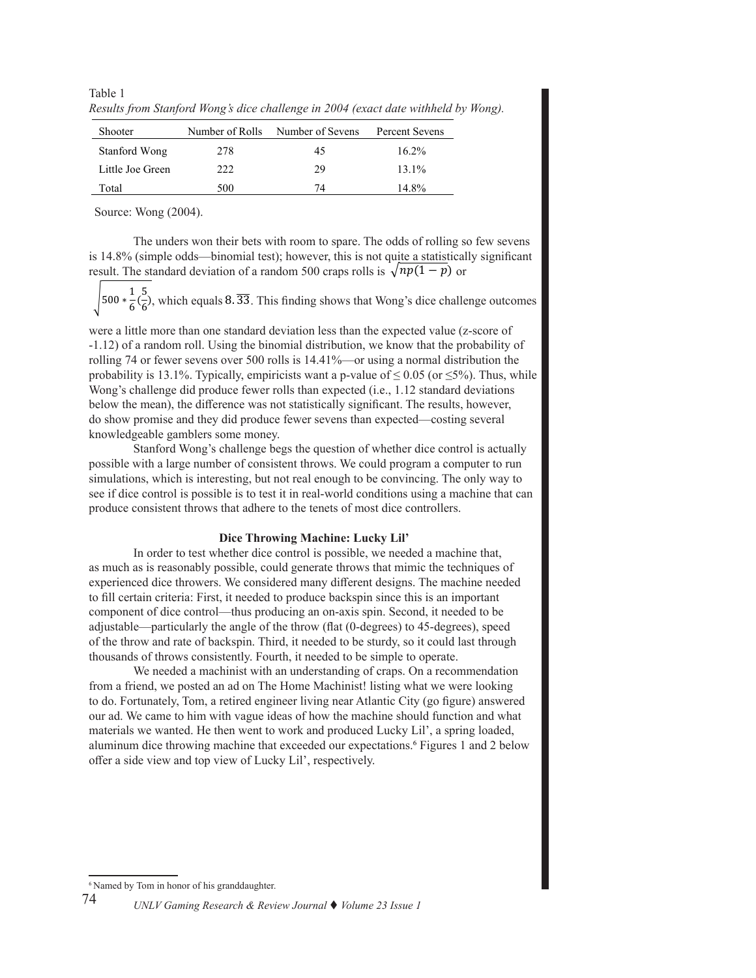Table 1 *Results from Stanford Wong's dice challenge in 2004 (exact date withheld by Wong).*

| <b>Shooter</b>   | Number of Rolls | Number of Sevens | Percent Sevens |
|------------------|-----------------|------------------|----------------|
| Stanford Wong    | 278             | 45               | $16.2\%$       |
| Little Joe Green | 222             | 29               | $13.1\%$       |
| Total            | 500             | 74               | 14.8%          |

Source: Wong (2004).

The unders won their bets with room to spare. The odds of rolling so few sevens is 14.8% (simple odds—binomial test); however, this is not quite a statistically significant result. The standard deviation of a random 500 craps rolls is  $\sqrt{np(1-p)}$  or

ī  $\sqrt{\frac{1}{6}G}$ , which equals 8.  $\overline{33}$ . This finding shows that Wong's dice challenge outcomes  $\frac{1}{6}$ ), which equals 8.33

were a little more than one standard deviation less than the expected value (z-score of -1.12) of a random roll. Using the binomial distribution, we know that the probability of rolling 74 or fewer sevens over 500 rolls is 14.41%—or using a normal distribution the probability is 13.1%. Typically, empiricists want a p-value of  $\leq 0.05$  (or  $\leq 5\%$ ). Thus, while Wong's challenge did produce fewer rolls than expected (i.e., 1.12 standard deviations below the mean), the difference was not statistically significant. The results, however, do show promise and they did produce fewer sevens than expected—costing several knowledgeable gamblers some money.

 Stanford Wong's challenge begs the question of whether dice control is actually possible with a large number of consistent throws. We could program a computer to run simulations, which is interesting, but not real enough to be convincing. The only way to see if dice control is possible is to test it in real-world conditions using a machine that can produce consistent throws that adhere to the tenets of most dice controllers.

#### **Dice Throwing Machine: Lucky Lil'**

 In order to test whether dice control is possible, we needed a machine that, as much as is reasonably possible, could generate throws that mimic the techniques of experienced dice throwers. We considered many different designs. The machine needed to fill certain criteria: First, it needed to produce backspin since this is an important component of dice control—thus producing an on-axis spin. Second, it needed to be adjustable—particularly the angle of the throw (flat (0-degrees) to 45-degrees), speed of the throw and rate of backspin. Third, it needed to be sturdy, so it could last through thousands of throws consistently. Fourth, it needed to be simple to operate.

 We needed a machinist with an understanding of craps. On a recommendation from a friend, we posted an ad on The Home Machinist! listing what we were looking to do. Fortunately, Tom, a retired engineer living near Atlantic City (go figure) answered our ad. We came to him with vague ideas of how the machine should function and what materials we wanted. He then went to work and produced Lucky Lil', a spring loaded, aluminum dice throwing machine that exceeded our expectations.6 Figures 1 and 2 below offer a side view and top view of Lucky Lil', respectively.

<sup>&</sup>lt;sup>6</sup> Named by Tom in honor of his granddaughter.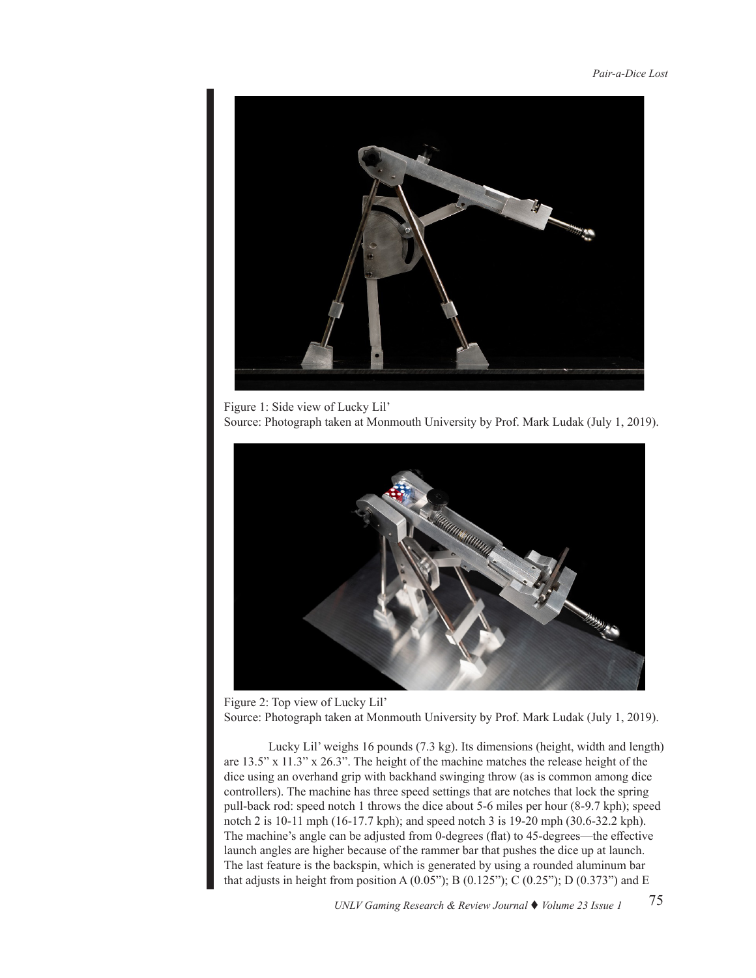

Figure 1: Side view of Lucky Lil' Source: Photograph taken at Monmouth University by Prof. Mark Ludak (July 1, 2019).



Figure 2: Top view of Lucky Lil' Source: Photograph taken at Monmouth University by Prof. Mark Ludak (July 1, 2019).

Lucky Lil' weighs 16 pounds (7.3 kg). Its dimensions (height, width and length) are 13.5" x 11.3" x 26.3". The height of the machine matches the release height of the dice using an overhand grip with backhand swinging throw (as is common among dice controllers). The machine has three speed settings that are notches that lock the spring pull-back rod: speed notch 1 throws the dice about 5-6 miles per hour (8-9.7 kph); speed notch 2 is 10-11 mph (16-17.7 kph); and speed notch 3 is 19-20 mph (30.6-32.2 kph). The machine's angle can be adjusted from 0-degrees (flat) to 45-degrees—the effective launch angles are higher because of the rammer bar that pushes the dice up at launch. The last feature is the backspin, which is generated by using a rounded aluminum bar that adjusts in height from position A  $(0.05$ "); B  $(0.125$ "); C  $(0.25$ "); D  $(0.373)$ " and E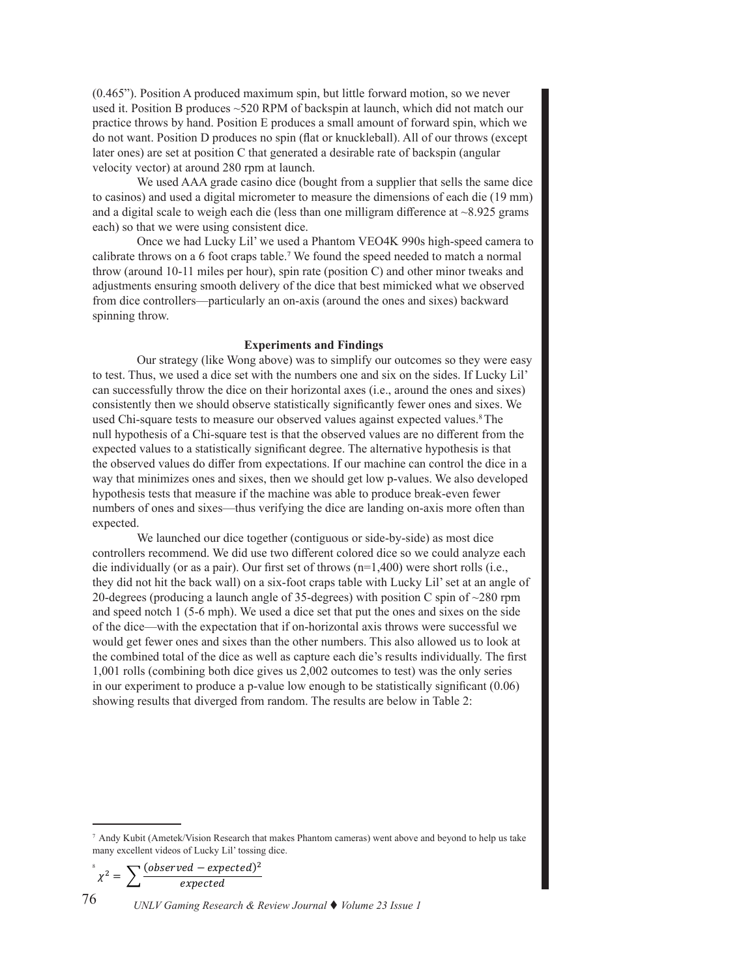(0.465"). Position A produced maximum spin, but little forward motion, so we never used it. Position B produces ~520 RPM of backspin at launch, which did not match our practice throws by hand. Position E produces a small amount of forward spin, which we do not want. Position D produces no spin (flat or knuckleball). All of our throws (except later ones) are set at position C that generated a desirable rate of backspin (angular velocity vector) at around 280 rpm at launch.

 We used AAA grade casino dice (bought from a supplier that sells the same dice to casinos) and used a digital micrometer to measure the dimensions of each die (19 mm) and a digital scale to weigh each die (less than one milligram difference at  $\sim$ 8.925 grams each) so that we were using consistent dice.

 Once we had Lucky Lil' we used a Phantom VEO4K 990s high-speed camera to calibrate throws on a 6 foot craps table.7 We found the speed needed to match a normal throw (around 10-11 miles per hour), spin rate (position C) and other minor tweaks and adjustments ensuring smooth delivery of the dice that best mimicked what we observed from dice controllers—particularly an on-axis (around the ones and sixes) backward spinning throw.

## **Experiments and Findings**

 Our strategy (like Wong above) was to simplify our outcomes so they were easy to test. Thus, we used a dice set with the numbers one and six on the sides. If Lucky Lil' can successfully throw the dice on their horizontal axes (i.e., around the ones and sixes) consistently then we should observe statistically significantly fewer ones and sixes. We used Chi-square tests to measure our observed values against expected values.8The null hypothesis of a Chi-square test is that the observed values are no different from the expected values to a statistically significant degree. The alternative hypothesis is that the observed values do differ from expectations. If our machine can control the dice in a way that minimizes ones and sixes, then we should get low p-values. We also developed hypothesis tests that measure if the machine was able to produce break-even fewer numbers of ones and sixes—thus verifying the dice are landing on-axis more often than expected.

We launched our dice together (contiguous or side-by-side) as most dice controllers recommend. We did use two different colored dice so we could analyze each die individually (or as a pair). Our first set of throws (n=1,400) were short rolls (i.e., they did not hit the back wall) on a six-foot craps table with Lucky Lil'set at an angle of 20-degrees (producing a launch angle of 35-degrees) with position C spin of ~280 rpm and speed notch 1 (5-6 mph). We used a dice set that put the ones and sixes on the side of the dice—with the expectation that if on-horizontal axis throws were successful we would get fewer ones and sixes than the other numbers. This also allowed us to look at the combined total of the dice as well as capture each die's results individually. The first 1,001 rolls (combining both dice gives us 2,002 outcomes to test) was the only series in our experiment to produce a p-value low enough to be statistically significant (0.06) showing results that diverged from random. The results are below in Table 2:

 $\int x^2 = \sum \frac{(observed - expected)^2}{expected}$ 

*UNLV Gaming Research & Review Journal* t *Volume 23 Issue 1* 76

<sup>7</sup> Andy Kubit (Ametek/Vision Research that makes Phantom cameras) went above and beyond to help us take many excellent videos of Lucky Lil' tossing dice.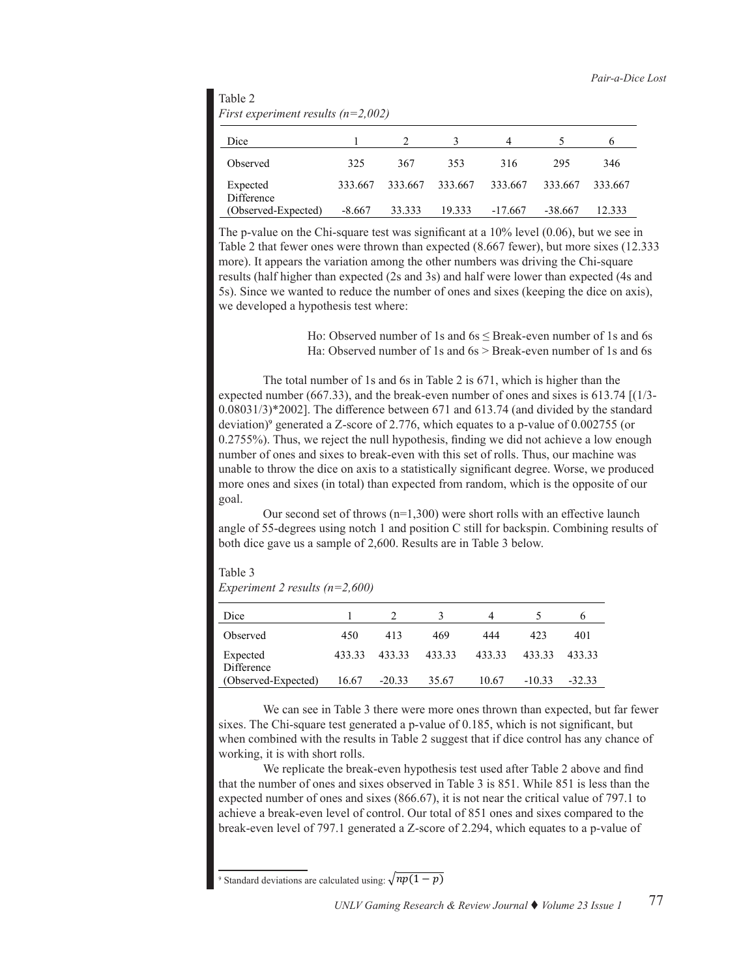| Table 2                                |
|----------------------------------------|
| First experiment results ( $n=2,002$ ) |

| Dice                   |          |         |         | 4         |           | n       |
|------------------------|----------|---------|---------|-----------|-----------|---------|
| Observed               | 325      | 367     | 353     | 316       | 295       | 346     |
| Expected<br>Difference | 333.667  | 333.667 | 333.667 | 333.667   | 333.667   | 333.667 |
| (Observed-Expected)    | $-8.667$ | 33.333  | 19.333  | $-17.667$ | $-38.667$ | 12.333  |

The p-value on the Chi-square test was significant at a 10% level (0.06), but we see in Table 2 that fewer ones were thrown than expected (8.667 fewer), but more sixes (12.333 more). It appears the variation among the other numbers was driving the Chi-square results (half higher than expected (2s and 3s) and half were lower than expected (4s and 5s). Since we wanted to reduce the number of ones and sixes (keeping the dice on axis), we developed a hypothesis test where:

> Ho: Observed number of 1s and 6s < Break-even number of 1s and 6s Ha: Observed number of 1s and 6s > Break-even number of 1s and 6s

The total number of 1s and 6s in Table 2 is 671, which is higher than the expected number (667.33), and the break-even number of ones and sixes is 613.74 [(1/3- 0.08031/3)\*2002]. The difference between 671 and 613.74 (and divided by the standard deviation)<sup>9</sup> generated a Z-score of 2.776, which equates to a p-value of 0.002755 (or 0.2755%). Thus, we reject the null hypothesis, finding we did not achieve a low enough number of ones and sixes to break-even with this set of rolls. Thus, our machine was unable to throw the dice on axis to a statistically significant degree. Worse, we produced more ones and sixes (in total) than expected from random, which is the opposite of our goal.

Our second set of throws  $(n=1,300)$  were short rolls with an effective launch angle of 55-degrees using notch 1 and position C still for backspin. Combining results of both dice gave us a sample of 2,600. Results are in Table 3 below.

Table 3 *Experiment 2 results (n=2,600)*

| Dice                   |        |          |        | 4      |          |          |
|------------------------|--------|----------|--------|--------|----------|----------|
| Observed               | 450    | 413      | 469    | 444    | 423      | 401      |
| Expected<br>Difference | 433.33 | 433.33   | 433.33 | 433.33 | 433.33   | 433.33   |
| (Observed-Expected)    | 16.67  | $-20.33$ | 35.67  | 10.67  | $-10.33$ | $-32.33$ |

We can see in Table 3 there were more ones thrown than expected, but far fewer sixes. The Chi-square test generated a p-value of 0.185, which is not significant, but when combined with the results in Table 2 suggest that if dice control has any chance of working, it is with short rolls.

We replicate the break-even hypothesis test used after Table 2 above and find that the number of ones and sixes observed in Table 3 is 851. While 851 is less than the expected number of ones and sixes (866.67), it is not near the critical value of 797.1 to achieve a break-even level of control. Our total of 851 ones and sixes compared to the break-even level of 797.1 generated a Z-score of 2.294, which equates to a p-value of

<sup>9</sup> Standard deviations are calculated using:  $\sqrt{np(1 - p)}$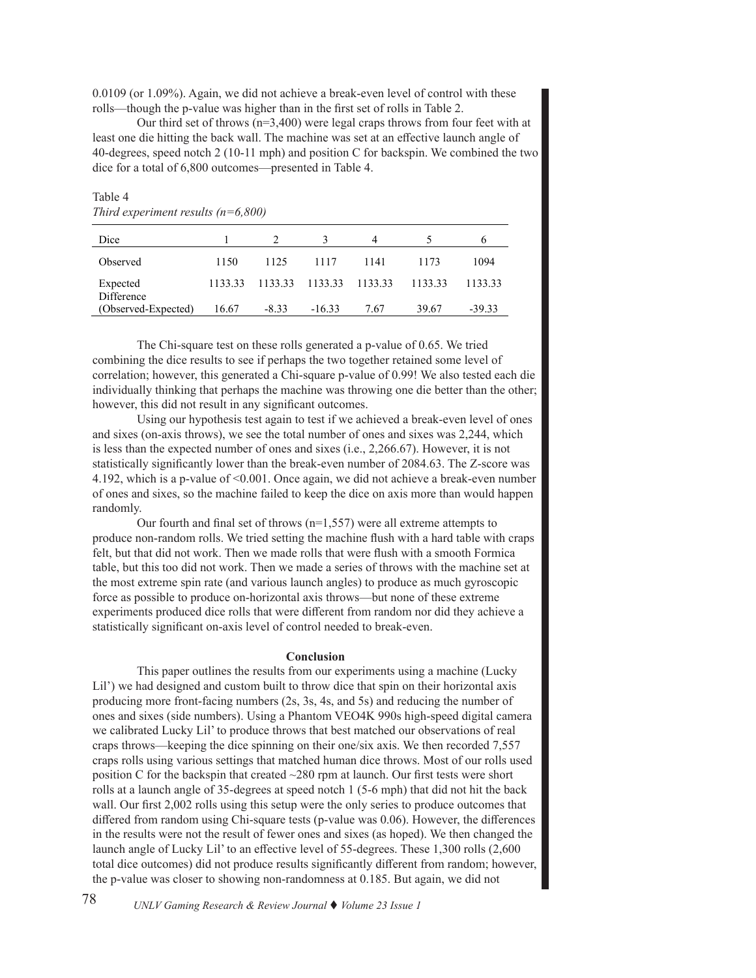0.0109 (or 1.09%). Again, we did not achieve a break-even level of control with these rolls—though the p-value was higher than in the first set of rolls in Table 2.

Our third set of throws (n=3,400) were legal craps throws from four feet with at least one die hitting the back wall. The machine was set at an effective launch angle of 40-degrees, speed notch 2 (10-11 mph) and position C for backspin. We combined the two dice for a total of 6,800 outcomes—presented in Table 4.

| $\frac{1}{1000}$ will be a set to $\frac{1}{1000}$ . The set of $\frac{1}{1000}$ of $\frac{1}{1000}$ or $\frac{1}{1000}$ |         |         |          |         |         |          |  |
|--------------------------------------------------------------------------------------------------------------------------|---------|---------|----------|---------|---------|----------|--|
| Dice                                                                                                                     |         |         |          |         |         |          |  |
| Observed                                                                                                                 | 1150    | 1125    | 1117     | 1141    | 1173    | 1094     |  |
| Expected                                                                                                                 | 1133.33 | 1133.33 | 1133.33  | 1133.33 | 1133.33 | 1133.33  |  |
| Difference<br>(Observed-Expected)                                                                                        | 16.67   | $-8.33$ | $-16.33$ | 7.67    | 39.67   | $-39.33$ |  |

# Table 4 *Third experiment results (n=6,800)*

 The Chi-square test on these rolls generated a p-value of 0.65. We tried combining the dice results to see if perhaps the two together retained some level of correlation; however, this generated a Chi-square p-value of 0.99! We also tested each die individually thinking that perhaps the machine was throwing one die better than the other; however, this did not result in any significant outcomes.

 Using our hypothesis test again to test if we achieved a break-even level of ones and sixes (on-axis throws), we see the total number of ones and sixes was 2,244, which is less than the expected number of ones and sixes (i.e., 2,266.67). However, it is not statistically significantly lower than the break-even number of 2084.63. The Z-score was 4.192, which is a p-value of <0.001. Once again, we did not achieve a break-even number of ones and sixes, so the machine failed to keep the dice on axis more than would happen randomly.

Our fourth and final set of throws ( $n=1,557$ ) were all extreme attempts to produce non-random rolls. We tried setting the machine flush with a hard table with craps felt, but that did not work. Then we made rolls that were flush with a smooth Formica table, but this too did not work. Then we made a series of throws with the machine set at the most extreme spin rate (and various launch angles) to produce as much gyroscopic force as possible to produce on-horizontal axis throws—but none of these extreme experiments produced dice rolls that were different from random nor did they achieve a statistically significant on-axis level of control needed to break-even.

#### **Conclusion**

 This paper outlines the results from our experiments using a machine (Lucky Lil') we had designed and custom built to throw dice that spin on their horizontal axis producing more front-facing numbers (2s, 3s, 4s, and 5s) and reducing the number of ones and sixes (side numbers). Using a Phantom VEO4K 990s high-speed digital camera we calibrated Lucky Lil' to produce throws that best matched our observations of real craps throws—keeping the dice spinning on their one/six axis. We then recorded 7,557 craps rolls using various settings that matched human dice throws. Most of our rolls used position C for the backspin that created ~280 rpm at launch. Our first tests were short rolls at a launch angle of 35-degrees at speed notch 1 (5-6 mph) that did not hit the back wall. Our first 2,002 rolls using this setup were the only series to produce outcomes that differed from random using Chi-square tests (p-value was 0.06). However, the differences in the results were not the result of fewer ones and sixes (as hoped). We then changed the launch angle of Lucky Lil' to an effective level of 55-degrees. These 1,300 rolls (2,600 total dice outcomes) did not produce results significantly different from random; however, the p-value was closer to showing non-randomness at 0.185. But again, we did not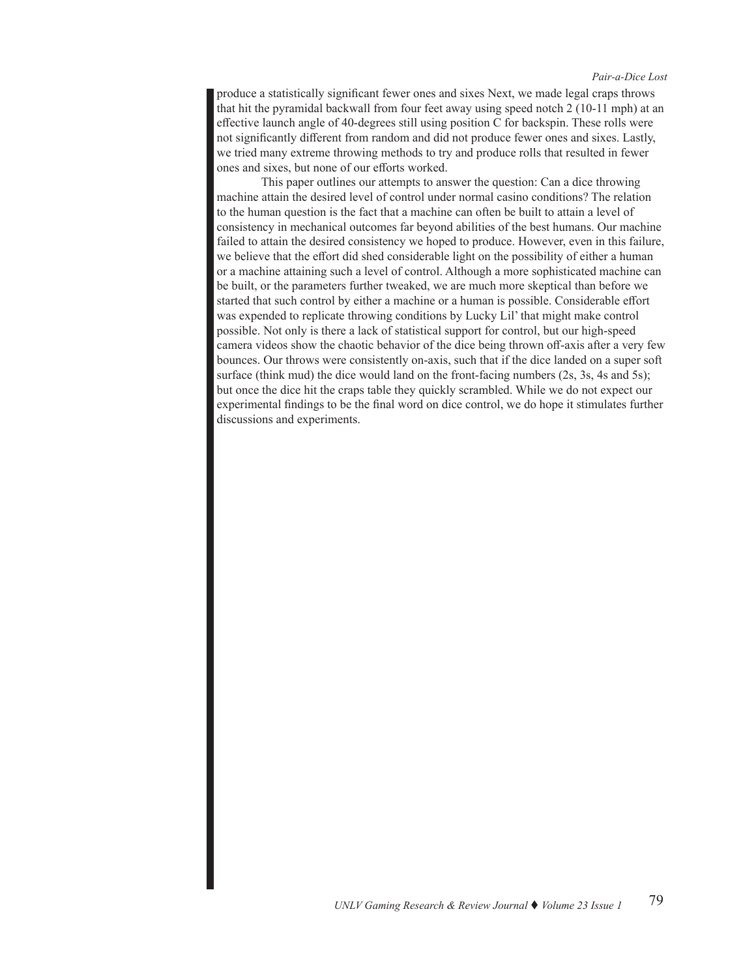#### *Pair-a-Dice Lost*

produce a statistically significant fewer ones and sixes Next, we made legal craps throws that hit the pyramidal backwall from four feet away using speed notch 2 (10-11 mph) at an effective launch angle of 40-degrees still using position C for backspin. These rolls were not significantly different from random and did not produce fewer ones and sixes. Lastly, we tried many extreme throwing methods to try and produce rolls that resulted in fewer ones and sixes, but none of our efforts worked.

This paper outlines our attempts to answer the question: Can a dice throwing machine attain the desired level of control under normal casino conditions? The relation to the human question is the fact that a machine can often be built to attain a level of consistency in mechanical outcomes far beyond abilities of the best humans. Our machine failed to attain the desired consistency we hoped to produce. However, even in this failure, we believe that the effort did shed considerable light on the possibility of either a human or a machine attaining such a level of control. Although a more sophisticated machine can be built, or the parameters further tweaked, we are much more skeptical than before we started that such control by either a machine or a human is possible. Considerable effort was expended to replicate throwing conditions by Lucky Lil' that might make control possible. Not only is there a lack of statistical support for control, but our high-speed camera videos show the chaotic behavior of the dice being thrown off-axis after a very few bounces. Our throws were consistently on-axis, such that if the dice landed on a super soft surface (think mud) the dice would land on the front-facing numbers (2s, 3s, 4s and 5s); but once the dice hit the craps table they quickly scrambled. While we do not expect our experimental findings to be the final word on dice control, we do hope it stimulates further discussions and experiments.